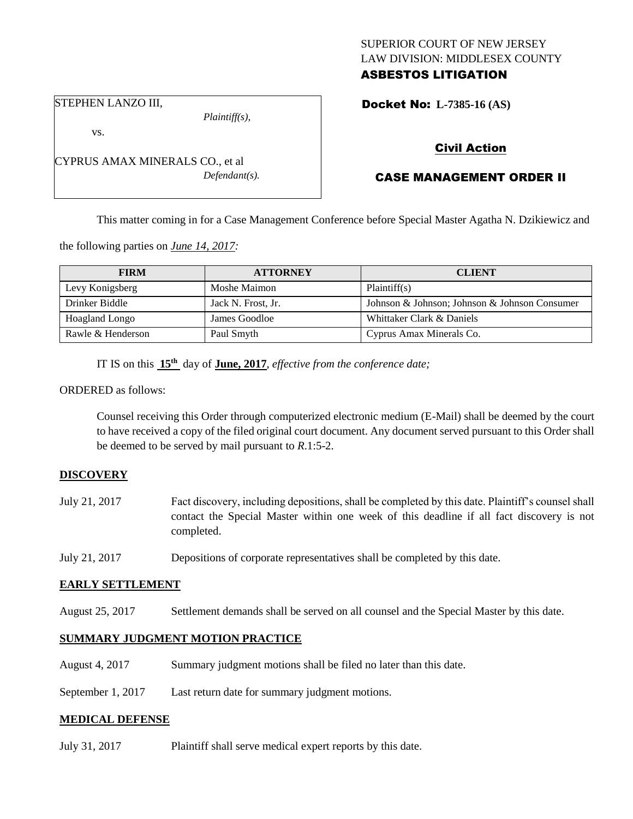# SUPERIOR COURT OF NEW JERSEY LAW DIVISION: MIDDLESEX COUNTY ASBESTOS LITIGATION

Docket No: **L-7385-16 (AS)** 

STEPHEN LANZO III,

vs.

*Plaintiff(s),*

*Defendant(s).*

Civil Action

# CASE MANAGEMENT ORDER II

This matter coming in for a Case Management Conference before Special Master Agatha N. Dzikiewicz and

the following parties on *June 14, 2017:*

CYPRUS AMAX MINERALS CO., et al

| <b>FIRM</b>           | <b>ATTORNEY</b>    | <b>CLIENT</b>                                 |
|-----------------------|--------------------|-----------------------------------------------|
| Levy Konigsberg       | Moshe Maimon       | Plaintiff(s)                                  |
| Drinker Biddle        | Jack N. Frost, Jr. | Johnson & Johnson; Johnson & Johnson Consumer |
| <b>Hoagland Longo</b> | James Goodloe      | Whittaker Clark & Daniels                     |
| Rawle & Henderson     | Paul Smyth         | Cyprus Amax Minerals Co.                      |

IT IS on this  $15<sup>th</sup>$  day of **June, 2017**, *effective from the conference date*;

ORDERED as follows:

Counsel receiving this Order through computerized electronic medium (E-Mail) shall be deemed by the court to have received a copy of the filed original court document. Any document served pursuant to this Order shall be deemed to be served by mail pursuant to *R*.1:5-2.

## **DISCOVERY**

- July 21, 2017 Fact discovery, including depositions, shall be completed by this date. Plaintiff's counsel shall contact the Special Master within one week of this deadline if all fact discovery is not completed.
- July 21, 2017 Depositions of corporate representatives shall be completed by this date.

#### **EARLY SETTLEMENT**

August 25, 2017 Settlement demands shall be served on all counsel and the Special Master by this date.

## **SUMMARY JUDGMENT MOTION PRACTICE**

- August 4, 2017 Summary judgment motions shall be filed no later than this date.
- September 1, 2017 Last return date for summary judgment motions.

## **MEDICAL DEFENSE**

July 31, 2017 Plaintiff shall serve medical expert reports by this date.